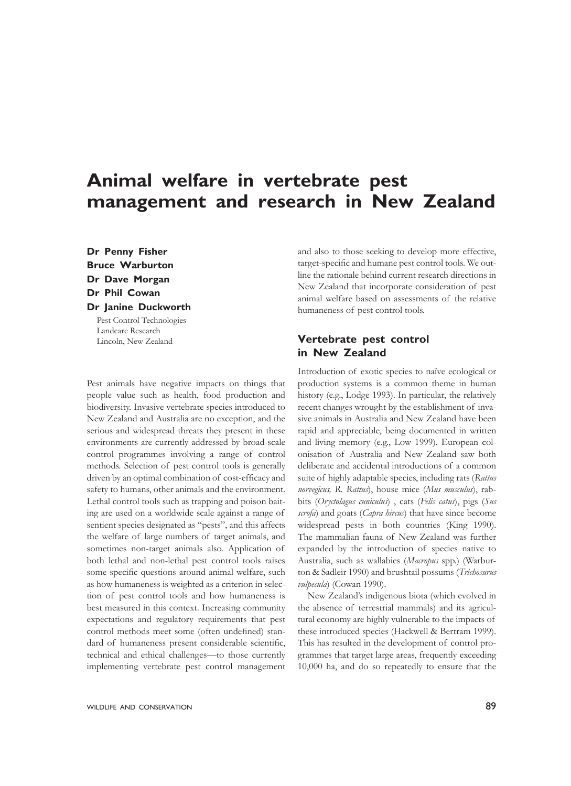# **Animal welfare in vertebrate pest management and research in New Zealand**

**Dr Penny Fisher Bruce Warburton Dr Dave Morgan Dr Phil Cowan Dr Janine Duckworth** Pest Control Technologies

Landcare Research Lincoln, New Zealand

Pest animals have negative impacts on things that people value such as health, food production and biodiversity. Invasive vertebrate species introduced to New Zealand and Australia are no exception, and the serious and widespread threats they present in these environments are currently addressed by broad-scale control programmes involving a range of control methods. Selection of pest control tools is generally driven by an optimal combination of cost-efficacy and safety to humans, other animals and the environment. Lethal control tools such as trapping and poison baiting are used on a worldwide scale against a range of sentient species designated as "pests", and this affects the welfare of large numbers of target animals, and sometimes non-target animals also. Application of both lethal and non-lethal pest control tools raises some specific questions around animal welfare, such as how humaneness is weighted as a criterion in selection of pest control tools and how humaneness is best measured in this context. Increasing community expectations and regulatory requirements that pest control methods meet some (often undefined) standard of humaneness present considerable scientific, technical and ethical challenges—to those currently implementing vertebrate pest control management

and also to those seeking to develop more effective, target-specific and humane pest control tools. We outline the rationale behind current research directions in New Zealand that incorporate consideration of pest animal welfare based on assessments of the relative humaneness of pest control tools.

## **Vertebrate pest control in New Zealand**

Introduction of exotic species to naïve ecological or production systems is a common theme in human history (e.g., Lodge 1993). In particular, the relatively recent changes wrought by the establishment of invasive animals in Australia and New Zealand have been rapid and appreciable, being documented in written and living memory (e.g., Low 1999). European colonisation of Australia and New Zealand saw both deliberate and accidental introductions of a common suite of highly adaptable species, including rats (*Rattus norvegicus, R. Rattus*), house mice (*Mus musculus*), rabbits (*Oryctolagus cuniculus*) , cats (*Felis catus*), pigs (*Sus scrofa*) and goats (*Capra hircus*) that have since become widespread pests in both countries (King 1990). The mammalian fauna of New Zealand was further expanded by the introduction of species native to Australia, such as wallabies (*Macropus* spp.) (Warburton & Sadleir 1990) and brushtail possums (*Trichosurus vulpecula*) (Cowan 1990).

New Zealand's indigenous biota (which evolved in the absence of terrestrial mammals) and its agricultural economy are highly vulnerable to the impacts of these introduced species (Hackwell & Bertram 1999). This has resulted in the development of control programmes that target large areas, frequently exceeding 10,000 ha, and do so repeatedly to ensure that the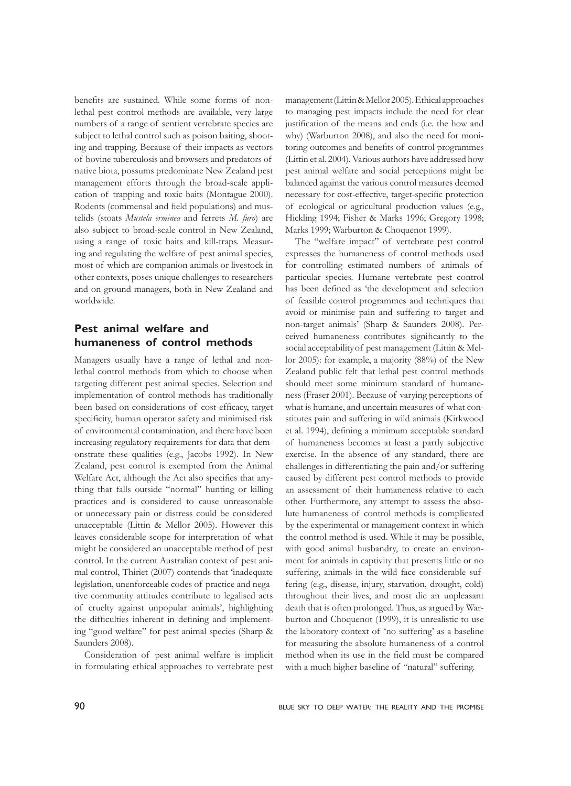benefits are sustained. While some forms of nonlethal pest control methods are available, very large numbers of a range of sentient vertebrate species are subject to lethal control such as poison baiting, shooting and trapping. Because of their impacts as vectors of bovine tuberculosis and browsers and predators of native biota, possums predominate New Zealand pest management efforts through the broad-scale application of trapping and toxic baits (Montague 2000). Rodents (commensal and field populations) and mustelids (stoats *Mustela erminea* and ferrets *M. furo*) are also subject to broad-scale control in New Zealand, using a range of toxic baits and kill-traps. Measuring and regulating the welfare of pest animal species, most of which are companion animals or livestock in other contexts, poses unique challenges to researchers and on-ground managers, both in New Zealand and worldwide.

## **Pest animal welfare and humaneness of control methods**

Managers usually have a range of lethal and nonlethal control methods from which to choose when targeting different pest animal species. Selection and implementation of control methods has traditionally been based on considerations of cost-efficacy, target specificity, human operator safety and minimised risk of environmental contamination, and there have been increasing regulatory requirements for data that demonstrate these qualities (e.g., Jacobs 1992). In New Zealand, pest control is exempted from the Animal Welfare Act, although the Act also specifies that anything that falls outside "normal" hunting or killing practices and is considered to cause unreasonable or unnecessary pain or distress could be considered unacceptable (Littin & Mellor 2005). However this leaves considerable scope for interpretation of what might be considered an unacceptable method of pest control. In the current Australian context of pest animal control, Thiriet (2007) contends that 'inadequate legislation, unenforceable codes of practice and negative community attitudes contribute to legalised acts of cruelty against unpopular animals', highlighting the difficulties inherent in defining and implementing "good welfare" for pest animal species (Sharp & Saunders 2008).

Consideration of pest animal welfare is implicit in formulating ethical approaches to vertebrate pest

management (Littin & Mellor 2005). Ethical approaches to managing pest impacts include the need for clear justification of the means and ends (i.e. the how and why) (Warburton 2008), and also the need for monitoring outcomes and benefits of control programmes (Littin et al. 2004). Various authors have addressed how pest animal welfare and social perceptions might be balanced against the various control measures deemed necessary for cost-effective, target-specific protection of ecological or agricultural production values (e.g., Hickling 1994; Fisher & Marks 1996; Gregory 1998; Marks 1999; Warburton & Choquenot 1999).

The "welfare impact" of vertebrate pest control expresses the humaneness of control methods used for controlling estimated numbers of animals of particular species. Humane vertebrate pest control has been defined as 'the development and selection of feasible control programmes and techniques that avoid or minimise pain and suffering to target and non-target animals' (Sharp & Saunders 2008). Perceived humaneness contributes significantly to the social acceptabilityof pest management (Littin & Mellor 2005): for example, a majority (88%) of the New Zealand public felt that lethal pest control methods should meet some minimum standard of humaneness (Fraser 2001). Because of varying perceptions of what is humane, and uncertain measures of what constitutes pain and suffering in wild animals (Kirkwood et al. 1994), defining a minimum acceptable standard of humaneness becomes at least a partly subjective exercise. In the absence of any standard, there are challenges in differentiating the pain and/or suffering caused by different pest control methods to provide an assessment of their humaneness relative to each other. Furthermore, any attempt to assess the absolute humaneness of control methods is complicated by the experimental or management context in which the control method is used. While it may be possible, with good animal husbandry, to create an environment for animals in captivity that presents little or no suffering, animals in the wild face considerable suffering (e.g., disease, injury, starvation, drought, cold) throughout their lives, and most die an unpleasant death that is often prolonged. Thus, as argued by Warburton and Choquenot (1999), it is unrealistic to use the laboratory context of 'no suffering' as a baseline for measuring the absolute humaneness of a control method when its use in the field must be compared with a much higher baseline of "natural" suffering.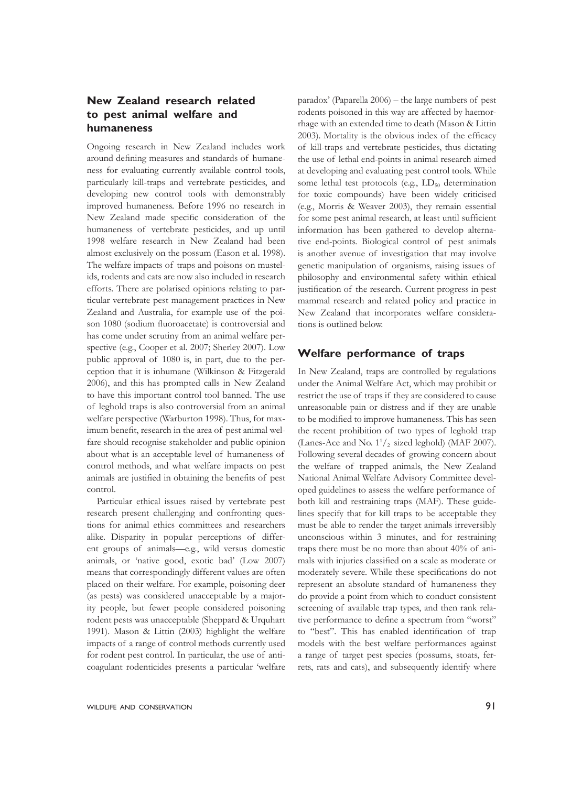## **New Zealand research related to pest animal welfare and humaneness**

Ongoing research in New Zealand includes work around defining measures and standards of humaneness for evaluating currently available control tools, particularly kill-traps and vertebrate pesticides, and developing new control tools with demonstrably improved humaneness. Before 1996 no research in New Zealand made specific consideration of the humaneness of vertebrate pesticides, and up until 1998 welfare research in New Zealand had been almost exclusively on the possum (Eason et al. 1998). The welfare impacts of traps and poisons on mustelids, rodents and cats are now also included in research efforts. There are polarised opinions relating to particular vertebrate pest management practices in New Zealand and Australia, for example use of the poison 1080 (sodium fluoroacetate) is controversial and has come under scrutiny from an animal welfare perspective (e.g., Cooper et al. 2007; Sherley 2007). Low public approval of 1080 is, in part, due to the perception that it is inhumane (Wilkinson & Fitzgerald 2006), and this has prompted calls in New Zealand to have this important control tool banned. The use of leghold traps is also controversial from an animal welfare perspective (Warburton 1998). Thus, for maximum benefit, research in the area of pest animal welfare should recognise stakeholder and public opinion about what is an acceptable level of humaneness of control methods, and what welfare impacts on pest animals are justified in obtaining the benefits of pest control.

Particular ethical issues raised by vertebrate pest research present challenging and confronting questions for animal ethics committees and researchers alike. Disparity in popular perceptions of different groups of animals—e.g., wild versus domestic animals, or 'native good, exotic bad' (Low 2007) means that correspondingly different values are often placed on their welfare. For example, poisoning deer (as pests) was considered unacceptable by a majority people, but fewer people considered poisoning rodent pests was unacceptable (Sheppard & Urquhart 1991). Mason & Littin (2003) highlight the welfare impacts of a range of control methods currently used for rodent pest control. In particular, the use of anticoagulant rodenticides presents a particular 'welfare

paradox' (Paparella 2006) – the large numbers of pest rodents poisoned in this way are affected by haemorrhage with an extended time to death (Mason & Littin 2003). Mortality is the obvious index of the efficacy of kill-traps and vertebrate pesticides, thus dictating the use of lethal end-points in animal research aimed at developing and evaluating pest control tools. While some lethal test protocols (e.g.,  $LD_{50}$  determination for toxic compounds) have been widely criticised (e.g., Morris & Weaver 2003), they remain essential for some pest animal research, at least until sufficient information has been gathered to develop alternative end-points. Biological control of pest animals is another avenue of investigation that may involve genetic manipulation of organisms, raising issues of philosophy and environmental safety within ethical justification of the research. Current progress in pest mammal research and related policy and practice in New Zealand that incorporates welfare considerations is outlined below.

### **Welfare performance of traps**

In New Zealand, traps are controlled by regulations under the Animal Welfare Act, which may prohibit or restrict the use of traps if they are considered to cause unreasonable pain or distress and if they are unable to be modified to improve humaneness. This has seen the recent prohibition of two types of leghold trap (Lanes-Ace and No.  $1^1/2$  sized leghold) (MAF 2007). Following several decades of growing concern about the welfare of trapped animals, the New Zealand National Animal Welfare Advisory Committee developed guidelines to assess the welfare performance of both kill and restraining traps (MAF). These guidelines specify that for kill traps to be acceptable they must be able to render the target animals irreversibly unconscious within 3 minutes, and for restraining traps there must be no more than about 40% of animals with injuries classified on a scale as moderate or moderately severe. While these specifications do not represent an absolute standard of humaneness they do provide a point from which to conduct consistent screening of available trap types, and then rank relative performance to define a spectrum from "worst" to "best". This has enabled identification of trap models with the best welfare performances against a range of target pest species (possums, stoats, ferrets, rats and cats), and subsequently identify where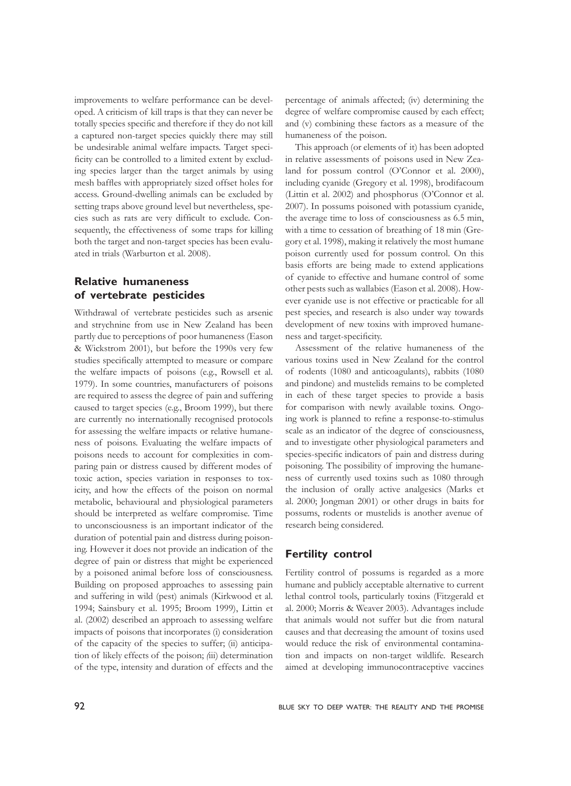improvements to welfare performance can be developed. A criticism of kill traps is that they can never be totally species specific and therefore if they do not kill a captured non-target species quickly there may still be undesirable animal welfare impacts. Target specificity can be controlled to a limited extent by excluding species larger than the target animals by using mesh baffles with appropriately sized offset holes for access. Ground-dwelling animals can be excluded by setting traps above ground level but nevertheless, species such as rats are very difficult to exclude. Consequently, the effectiveness of some traps for killing both the target and non-target species has been evaluated in trials (Warburton et al. 2008).

## **Relative humaneness of vertebrate pesticides**

Withdrawal of vertebrate pesticides such as arsenic and strychnine from use in New Zealand has been partly due to perceptions of poor humaneness (Eason & Wickstrom 2001), but before the 1990s very few studies specifically attempted to measure or compare the welfare impacts of poisons (e.g., Rowsell et al. 1979). In some countries, manufacturers of poisons are required to assess the degree of pain and suffering caused to target species (e.g., Broom 1999), but there are currently no internationally recognised protocols for assessing the welfare impacts or relative humaneness of poisons. Evaluating the welfare impacts of poisons needs to account for complexities in comparing pain or distress caused by different modes of toxic action, species variation in responses to toxicity, and how the effects of the poison on normal metabolic, behavioural and physiological parameters should be interpreted as welfare compromise. Time to unconsciousness is an important indicator of the duration of potential pain and distress during poisoning. However it does not provide an indication of the degree of pain or distress that might be experienced by a poisoned animal before loss of consciousness. Building on proposed approaches to assessing pain and suffering in wild (pest) animals (Kirkwood et al. 1994; Sainsbury et al. 1995; Broom 1999), Littin et al. (2002) described an approach to assessing welfare impacts of poisons that incorporates (i) consideration of the capacity of the species to suffer; (ii) anticipation of likely effects of the poison; *(*iii) determination of the type, intensity and duration of effects and the

percentage of animals affected; (iv) determining the degree of welfare compromise caused by each effect; and (v) combining these factors as a measure of the humaneness of the poison.

This approach (or elements of it) has been adopted in relative assessments of poisons used in New Zealand for possum control (O'Connor et al. 2000), including cyanide (Gregory et al. 1998), brodifacoum (Littin et al. 2002) and phosphorus (O'Connor et al. 2007). In possums poisoned with potassium cyanide, the average time to loss of consciousness as 6.5 min, with a time to cessation of breathing of 18 min (Gregory et al. 1998), making it relatively the most humane poison currently used for possum control. On this basis efforts are being made to extend applications of cyanide to effective and humane control of some other pests such as wallabies (Eason et al. 2008). However cyanide use is not effective or practicable for all pest species, and research is also under way towards development of new toxins with improved humaneness and target-specificity.

Assessment of the relative humaneness of the various toxins used in New Zealand for the control of rodents (1080 and anticoagulants), rabbits (1080 and pindone) and mustelids remains to be completed in each of these target species to provide a basis for comparison with newly available toxins. Ongoing work is planned to refine a response-to-stimulus scale as an indicator of the degree of consciousness, and to investigate other physiological parameters and species-specific indicators of pain and distress during poisoning. The possibility of improving the humaneness of currently used toxins such as 1080 through the inclusion of orally active analgesics (Marks et al. 2000; Jongman 2001) or other drugs in baits for possums, rodents or mustelids is another avenue of research being considered.

## **Fertility control**

Fertility control of possums is regarded as a more humane and publicly acceptable alternative to current lethal control tools, particularly toxins (Fitzgerald et al. 2000; Morris & Weaver 2003). Advantages include that animals would not suffer but die from natural causes and that decreasing the amount of toxins used would reduce the risk of environmental contamination and impacts on non-target wildlife. Research aimed at developing immunocontraceptive vaccines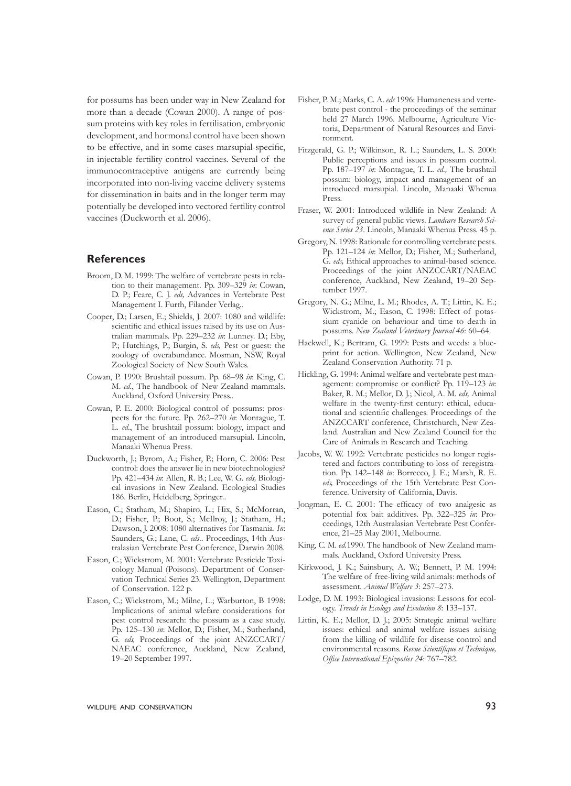for possums has been under way in New Zealand for more than a decade (Cowan 2000). A range of possum proteins with key roles in fertilisation, embryonic development, and hormonal control have been shown to be effective, and in some cases marsupial-specific, in injectable fertility control vaccines. Several of the immunocontraceptive antigens are currently being incorporated into non‑living vaccine delivery systems for dissemination in baits and in the longer term may potentially be developed into vectored fertility control vaccines (Duckworth et al. 2006).

#### **References**

- Broom, D. M. 1999: The welfare of vertebrate pests in relation to their management. Pp. 309–329 *in*: Cowan, D. P.; Feare, C. J. *eds,* Advances in Vertebrate Pest Management I. Furth, Filander Verlag..
- Cooper, D.; Larsen, E.; Shields, J. 2007: 1080 and wildlife: scientific and ethical issues raised by its use on Australian mammals. Pp. 229–232 *in*: Lunney. D.; Eby, P.; Hutchings, P.; Burgin, S. *eds,* Pest or guest: the zoology of overabundance. Mosman, NSW, Royal Zoological Society of New South Wales.
- Cowan, P. 1990: Brushtail possum. Pp. 68–98 *in*: King, C. M. *ed*., The handbook of New Zealand mammals. Auckland, Oxford University Press..
- Cowan, P. E. 2000: Biological control of possums: prospects for the future. Pp. 262–270 *in*: Montague, T. L. *ed*., The brushtail possum: biology, impact and management of an introduced marsupial. Lincoln, Manaaki Whenua Press.
- Duckworth, J.; Byrom, A.; Fisher, P.; Horn, C. 2006: Pest control: does the answer lie in new biotechnologies? Pp. 421–434 *in*: Allen, R. B.; Lee, W. G. *eds,* Biological invasions in New Zealand. Ecological Studies 186. Berlin, Heidelberg, Springer..
- Eason, C.; Statham, M.; Shapiro, L.; Hix, S.; McMorran, D.; Fisher, P.; Boot, S.; McIlroy, J.; Statham, H.; Dawson, J. 2008: 1080 alternatives for Tasmania. *In*: Saunders, G.; Lane, C. *eds*.. Proceedings, 14th Australasian Vertebrate Pest Conference, Darwin 2008.
- Eason, C.; Wickstrom, M. 2001: Vertebrate Pesticide Toxicology Manual (Poisons). Department of Conservation Technical Series 23. Wellington, Department of Conservation. 122 p.
- Eason, C.; Wickstrom, M.; Milne, L.; Warburton, B 1998: Implications of animal wlefare considerations for pest control research: the possum as a case study. Pp. 125–130 *in*: Mellor, D.; Fisher, M.; Sutherland, G. *eds,* Proceedings of the joint ANZCCART/ NAEAC conference, Auckland, New Zealand, 19–20 September 1997.
- Fisher, P. M.; Marks, C. A. *eds* 1996: Humaneness and vertebrate pest control - the proceedings of the seminar held 27 March 1996. Melbourne, Agriculture Victoria, Department of Natural Resources and Environment.
- Fitzgerald, G. P.; Wilkinson, R. L.; Saunders, L. S. 2000: Public perceptions and issues in possum control. Pp. 187–197 *in*: Montague, T. L. *ed.,* The brushtail possum: biology, impact and management of an introduced marsupial. Lincoln, Manaaki Whenua Press.
- Fraser, W. 2001: Introduced wildlife in New Zealand: A survey of general public views. *Landcare Research Science Series 23*. Lincoln, Manaaki Whenua Press. 45 p.
- Gregory, N. 1998: Rationale for controlling vertebrate pests. Pp. 121–124 *in*: Mellor, D.; Fisher, M.; Sutherland, G. *eds,* Ethical approaches to animal-based science. Proceedings of the joint ANZCCART/NAEAC conference, Auckland, New Zealand, 19–20 September 1997.
- Gregory, N. G.; Milne, L. M.; Rhodes, A. T.; Littin, K. E.; Wickstrom, M.; Eason, C. 1998: Effect of potassium cyanide on behaviour and time to death in possums. *New Zealand Veterinary Journal 46*: 60–64.
- Hackwell, K.; Bertram, G. 1999: Pests and weeds: a blueprint for action. Wellington, New Zealand, New Zealand Conservation Authority. 71 p.
- Hickling, G. 1994: Animal welfare and vertebrate pest management: compromise or conflict? Pp. 119–123 *in*: Baker, R. M.; Mellor, D. J.; Nicol, A. M. *eds,* Animal welfare in the twenty-first century: ethical, educational and scientific challenges. Proceedings of the ANZCCART conference, Christchurch, New Zealand. Australian and New Zealand Council for the Care of Animals in Research and Teaching.
- Jacobs, W. W. 1992: Vertebrate pesticides no longer registered and factors contributing to loss of reregistration. Pp. 142–148 *in*: Borrecco, J. E.; Marsh, R. E. *eds,* Proceedings of the 15th Vertebrate Pest Conference. University of California, Davis.
- Jongman, E. C. 2001: The efficacy of two analgesic as potential fox bait additives. Pp. 322–325 *in*: Proceedings, 12th Australasian Vertebrate Pest Conference, 21–25 May 2001, Melbourne.
- King, C. M. *ed.*1990. The handbook of New Zealand mammals. Auckland, Oxford University Press.
- Kirkwood, J. K.; Sainsbury, A. W.; Bennett, P. M. 1994: The welfare of free-living wild animals: methods of assessment. *Animal Welfare 3*: 257–273.
- Lodge, D. M. 1993: Biological invasions: Lessons for ecology. *Trends in Ecology and Evolution 8*: 133–137.
- Littin, K. E.; Mellor, D. J.; 2005: Strategic animal welfare issues: ethical and animal welfare issues arising from the killing of wildlife for disease control and environmental reasons. *Revue Scientifique et Technique, Office International Epizooties 24*: 767–782.